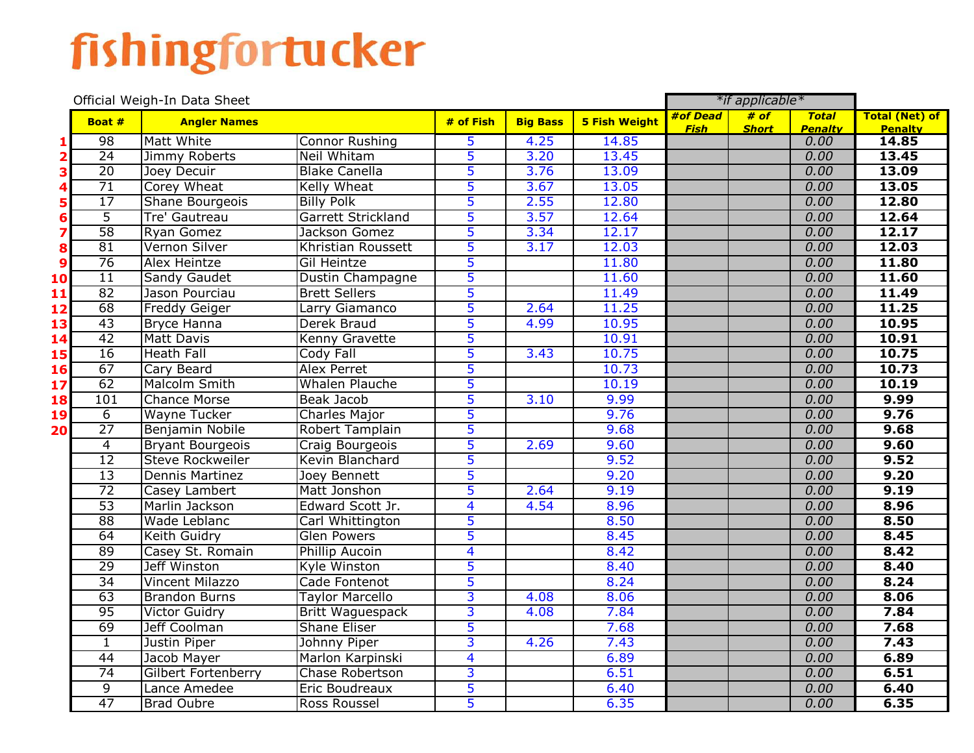## fishingfortucker

|                         | Official Weigh-In Data Sheet |                            |                         |                         |                 |                      | *if applicable* |              |                        |                         |
|-------------------------|------------------------------|----------------------------|-------------------------|-------------------------|-----------------|----------------------|-----------------|--------------|------------------------|-------------------------|
|                         | Boat #                       | <b>Angler Names</b>        |                         | $#$ of Fish             | <b>Big Bass</b> | <b>5 Fish Weight</b> | #of Dead        | # of         | <b>Total</b>           | <b>Total (Net) of</b>   |
|                         | $\overline{98}$              | Matt White                 | <b>Connor Rushing</b>   | 5                       | 4.25            | 14.85                | <b>Fish</b>     | <b>Short</b> | <b>Penalty</b><br>0.00 | <b>Penalty</b><br>14.85 |
| $\overline{\mathbf{2}}$ | 24                           | Jimmy Roberts              | Neil Whitam             | $\overline{5}$          | 3.20            | 13.45                |                 |              | 0.00                   | 13.45                   |
| 3                       | 20                           | Joey Decuir                | <b>Blake Canella</b>    | 5                       | 3.76            | 13.09                |                 |              | 0.00                   | 13.09                   |
| 4                       | 71                           | Corey Wheat                | Kelly Wheat             | 5                       | 3.67            | 13.05                |                 |              | 0.00                   | 13.05                   |
| 5                       | 17                           | Shane Bourgeois            | <b>Billy Polk</b>       | 5                       | 2.55            | 12.80                |                 |              | 0.00                   | 12.80                   |
| 6                       | $\overline{5}$               | Tre' Gautreau              | Garrett Strickland      | 5                       | 3.57            | 12.64                |                 |              | 0.00                   | 12.64                   |
| 7                       | $\overline{58}$              | Ryan Gomez                 | Jackson Gomez           | 5                       | 3.34            | 12.17                |                 |              | 0.00                   | 12.17                   |
| 8                       | 81                           | Vernon Silver              | Khristian Roussett      | 5                       | 3.17            | 12.03                |                 |              | 0.00                   | 12.03                   |
| 9                       | $\overline{76}$              | Alex Heintze               | Gil Heintze             | 5                       |                 | 11.80                |                 |              | 0.00                   | 11.80                   |
| 10                      | $\overline{11}$              | <b>Sandy Gaudet</b>        | Dustin Champagne        | 5                       |                 | 11.60                |                 |              | 0.00                   | 11.60                   |
| 11                      | 82                           | Jason Pourciau             | <b>Brett Sellers</b>    | 5                       |                 | 11.49                |                 |              | 0.00                   | 11.49                   |
| 12                      | 68                           | <b>Freddy Geiger</b>       | Larry Giamanco          | 5                       | 2.64            | 11.25                |                 |              | 0.00                   | 11.25                   |
| 13                      | 43                           | <b>Bryce Hanna</b>         | Derek Braud             | 5                       | 4.99            | 10.95                |                 |              | 0.00                   | 10.95                   |
| 14                      | 42                           | <b>Matt Davis</b>          | <b>Kenny Gravette</b>   | 5                       |                 | 10.91                |                 |              | 0.00                   | 10.91                   |
| 15                      | 16                           | <b>Heath Fall</b>          | Cody Fall               | 5                       | 3.43            | 10.75                |                 |              | 0.00                   | 10.75                   |
| 16                      | 67                           | Cary Beard                 | <b>Alex Perret</b>      | 5                       |                 | 10.73                |                 |              | 0.00                   | 10.73                   |
| 17                      | 62                           | <b>Malcolm Smith</b>       | <b>Whalen Plauche</b>   | 5                       |                 | 10.19                |                 |              | 0.00                   | 10.19                   |
| 18                      | 101                          | <b>Chance Morse</b>        | <b>Beak Jacob</b>       | 5                       | 3.10            | 9.99                 |                 |              | 0.00                   | 9.99                    |
| 19                      | 6                            | Wayne Tucker               | Charles Major           | 5                       |                 | 9.76                 |                 |              | 0.00                   | 9.76                    |
| 20                      | $\overline{27}$              | Benjamin Nobile            | Robert Tamplain         | $\overline{5}$          |                 | 9.68                 |                 |              | 0.00                   | 9.68                    |
|                         | $\overline{4}$               | <b>Bryant Bourgeois</b>    | Craig Bourgeois         | 5                       | 2.69            | 9.60                 |                 |              | 0.00                   | 9.60                    |
|                         | $\overline{12}$              | <b>Steve Rockweiler</b>    | Kevin Blanchard         | 5                       |                 | 9.52                 |                 |              | 0.00                   | 9.52                    |
|                         | $\overline{13}$              | <b>Dennis Martinez</b>     | Joey Bennett            | 5                       |                 | 9.20                 |                 |              | 0.00                   | 9.20                    |
|                         | 72                           | Casey Lambert              | Matt Jonshon            | 5                       | 2.64            | 9.19                 |                 |              | 0.00                   | 9.19                    |
|                         | $\overline{53}$              | Marlin Jackson             | Edward Scott Jr.        | $\overline{4}$          | 4.54            | 8.96                 |                 |              | 0.00                   | 8.96                    |
|                         | 88                           | Wade Leblanc               | Carl Whittington        | $\overline{5}$          |                 | 8.50                 |                 |              | 0.00                   | 8.50                    |
|                         | 64                           | Keith Guidry               | <b>Glen Powers</b>      | 5                       |                 | 8.45                 |                 |              | 0.00                   | 8.45                    |
|                         | 89                           | Casey St. Romain           | <b>Phillip Aucoin</b>   | 4                       |                 | 8.42                 |                 |              | 0.00                   | 8.42                    |
|                         | 29                           | Jeff Winston               | Kyle Winston            | 5                       |                 | 8.40                 |                 |              | 0.00                   | 8.40                    |
|                         | $\overline{34}$              | <b>Vincent Milazzo</b>     | Cade Fontenot           | 5                       |                 | 8.24                 |                 |              | 0.00                   | 8.24                    |
|                         | 63                           | <b>Brandon Burns</b>       | <b>Taylor Marcello</b>  | $\overline{3}$          | 4.08            | 8.06                 |                 |              | 0.00                   | 8.06                    |
|                         | 95                           | <b>Victor Guidry</b>       | <b>Britt Waguespack</b> | $\overline{3}$          | 4.08            | 7.84                 |                 |              | 0.00                   | 7.84                    |
|                         | 69                           | Jeff Coolman               | <b>Shane Eliser</b>     | 5                       |                 | 7.68                 |                 |              | 0.00                   | 7.68                    |
|                         | $\mathbf{1}$                 | Justin Piper               | Johnny Piper            | س                       | 4.26            | 7.43                 |                 |              | 0.00                   | 7.43                    |
|                         | 44                           | Jacob Mayer                | Marlon Karpinski        | $\overline{\mathbf{4}}$ |                 | 6.89                 |                 |              | 0.00                   | 6.89                    |
|                         | 74                           | <b>Gilbert Fortenberry</b> | Chase Robertson         | 3                       |                 | 6.51                 |                 |              | 0.00                   | 6.51                    |
|                         | $\overline{9}$               | Lance Amedee               | Eric Boudreaux          | 5                       |                 | 6.40                 |                 |              | 0.00                   | 6.40                    |
|                         | $\overline{47}$              | <b>Brad Oubre</b>          | <b>Ross Roussel</b>     | 5                       |                 | 6.35                 |                 |              | 0.00                   | 6.35                    |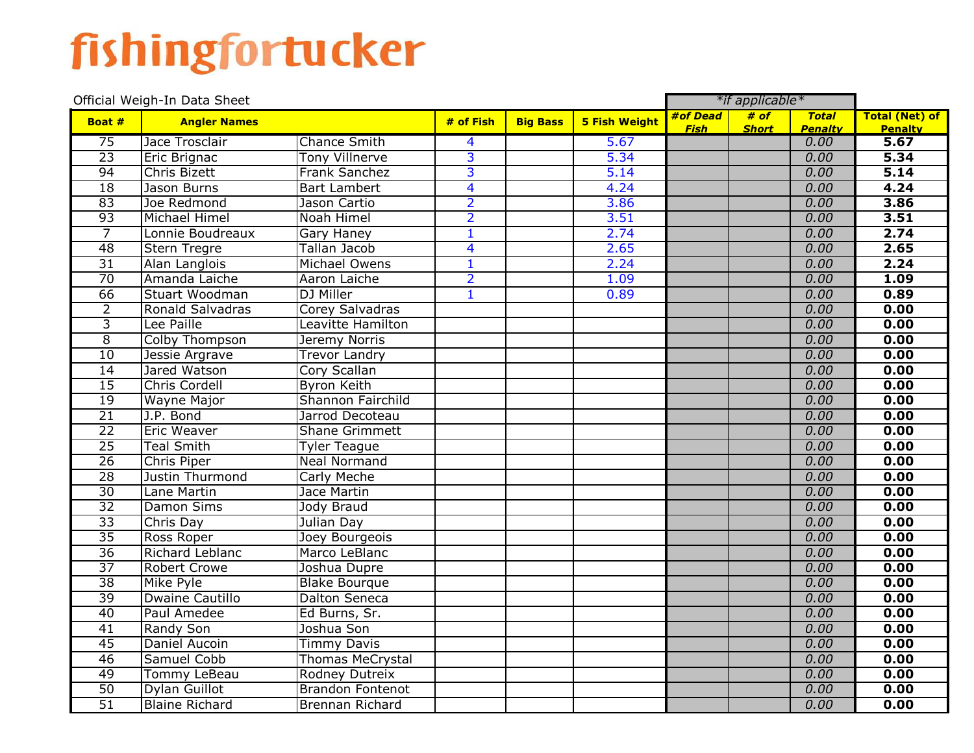## fishingfortucker

|                 | Official Weigh-In Data Sheet |                         | *if applicable* |                 |                      |             |              |                        |                        |
|-----------------|------------------------------|-------------------------|-----------------|-----------------|----------------------|-------------|--------------|------------------------|------------------------|
| Boat #          | <b>Angler Names</b>          |                         | # of Fish       | <b>Big Bass</b> | <b>5 Fish Weight</b> | #of Dead    | $#$ of       | <b>Total</b>           | <b>Total (Net) of</b>  |
| 75              | Jace Trosclair               | <b>Chance Smith</b>     |                 |                 | 5.67                 | <b>Fish</b> | <b>Short</b> | <b>Penalty</b><br>0.00 | <b>Penalty</b><br>5.67 |
| $\overline{23}$ |                              | <b>Tony Villnerve</b>   | 4<br>3          |                 | 5.34                 |             |              | 0.00                   | 5.34                   |
| 94              | Eric Brignac<br>Chris Bizett | <b>Frank Sanchez</b>    | $\overline{3}$  |                 | 5.14                 |             |              | 0.00                   | 5.14                   |
| 18              | Jason Burns                  | <b>Bart Lambert</b>     | 4               |                 | 4.24                 |             |              | 0.00                   | 4.24                   |
| 83              |                              |                         |                 |                 |                      |             |              | 0.00                   | 3.86                   |
| 93              | Joe Redmond                  | Jason Cartio            | $\overline{2}$  |                 | 3.86                 |             |              | 0.00                   |                        |
|                 | Michael Himel                | Noah Himel              | $\overline{2}$  |                 | 3.51                 |             |              |                        | 3.51                   |
| $\overline{7}$  | Lonnie Boudreaux             | Gary Haney              | $\mathbf{1}$    |                 | 2.74                 |             |              | 0.00                   | 2.74                   |
| 48              | <b>Stern Tregre</b>          | <b>Tallan Jacob</b>     | 4               |                 | 2.65                 |             |              | 0.00                   | 2.65                   |
| $\overline{31}$ | Alan Langlois                | Michael Owens           | $\overline{1}$  |                 | 2.24                 |             |              | 0.00                   | 2.24                   |
| $\overline{70}$ | Amanda Laiche                | Aaron Laiche            | $\overline{2}$  |                 | 1.09                 |             |              | 0.00                   | 1.09                   |
| 66              | Stuart Woodman               | DJ Miller               | $\overline{1}$  |                 | 0.89                 |             |              | 0.00                   | 0.89                   |
| $\overline{2}$  | Ronald Salvadras             | Corey Salvadras         |                 |                 |                      |             |              | 0.00                   | 0.00                   |
| $\overline{3}$  | Lee Paille                   | Leavitte Hamilton       |                 |                 |                      |             |              | 0.00                   | 0.00                   |
| $\overline{8}$  | Colby Thompson               | Jeremy Norris           |                 |                 |                      |             |              | 0.00                   | 0.00                   |
| 10              | Jessie Argrave               | <b>Trevor Landry</b>    |                 |                 |                      |             |              | 0.00                   | 0.00                   |
| 14              | Jared Watson                 | Cory Scallan            |                 |                 |                      |             |              | 0.00                   | 0.00                   |
| 15              | <b>Chris Cordell</b>         | <b>Byron Keith</b>      |                 |                 |                      |             |              | 0.00                   | 0.00                   |
| 19              | <b>Wayne Major</b>           | Shannon Fairchild       |                 |                 |                      |             |              | 0.00                   | 0.00                   |
| $\overline{21}$ | J.P. Bond                    | Jarrod Decoteau         |                 |                 |                      |             |              | 0.00                   | 0.00                   |
| $\overline{22}$ | <b>Eric Weaver</b>           | <b>Shane Grimmett</b>   |                 |                 |                      |             |              | 0.00                   | 0.00                   |
| 25              | <b>Teal Smith</b>            | <b>Tyler Teague</b>     |                 |                 |                      |             |              | 0.00                   | 0.00                   |
| 26              | <b>Chris Piper</b>           | <b>Neal Normand</b>     |                 |                 |                      |             |              | 0.00                   | 0.00                   |
| $\overline{28}$ | Justin Thurmond              | <b>Carly Meche</b>      |                 |                 |                      |             |              | 0.00                   | 0.00                   |
| $\overline{30}$ | Lane Martin                  | Jace Martin             |                 |                 |                      |             |              | 0.00                   | 0.00                   |
| $\overline{32}$ | <b>Damon Sims</b>            | Jody Braud              |                 |                 |                      |             |              | 0.00                   | 0.00                   |
| 33              | Chris Day                    | Julian Day              |                 |                 |                      |             |              | 0.00                   | 0.00                   |
| $\overline{35}$ | Ross Roper                   | Joey Bourgeois          |                 |                 |                      |             |              | 0.00                   | 0.00                   |
| $\overline{36}$ | Richard Leblanc              | Marco LeBlanc           |                 |                 |                      |             |              | 0.00                   | 0.00                   |
| $\overline{37}$ | <b>Robert Crowe</b>          | Joshua Dupre            |                 |                 |                      |             |              | 0.00                   | 0.00                   |
| $\overline{38}$ | Mike Pyle                    | <b>Blake Bourque</b>    |                 |                 |                      |             |              | 0.00                   | 0.00                   |
| 39              | Dwaine Cautillo              | <b>Dalton Seneca</b>    |                 |                 |                      |             |              | 0.00                   | 0.00                   |
| 40              | Paul Amedee                  | Ed Burns, Sr.           |                 |                 |                      |             |              | 0.00                   | 0.00                   |
| 41              | <b>Randy Son</b>             | Joshua Son              |                 |                 |                      |             |              | 0.00                   | 0.00                   |
| 45              | Daniel Aucoin                | <b>Timmy Davis</b>      |                 |                 |                      |             |              | 0.00                   | 0.00                   |
| 46              | Samuel Cobb                  | <b>Thomas MeCrystal</b> |                 |                 |                      |             |              | 0.00                   | 0.00                   |
| 49              | <b>Tommy LeBeau</b>          | Rodney Dutreix          |                 |                 |                      |             |              | 0.00                   | 0.00                   |
| 50              | Dylan Guillot                | <b>Brandon Fontenot</b> |                 |                 |                      |             |              | 0.00                   | 0.00                   |
| $\overline{51}$ | <b>Blaine Richard</b>        | Brennan Richard         |                 |                 |                      |             |              | 0.00                   | 0.00                   |